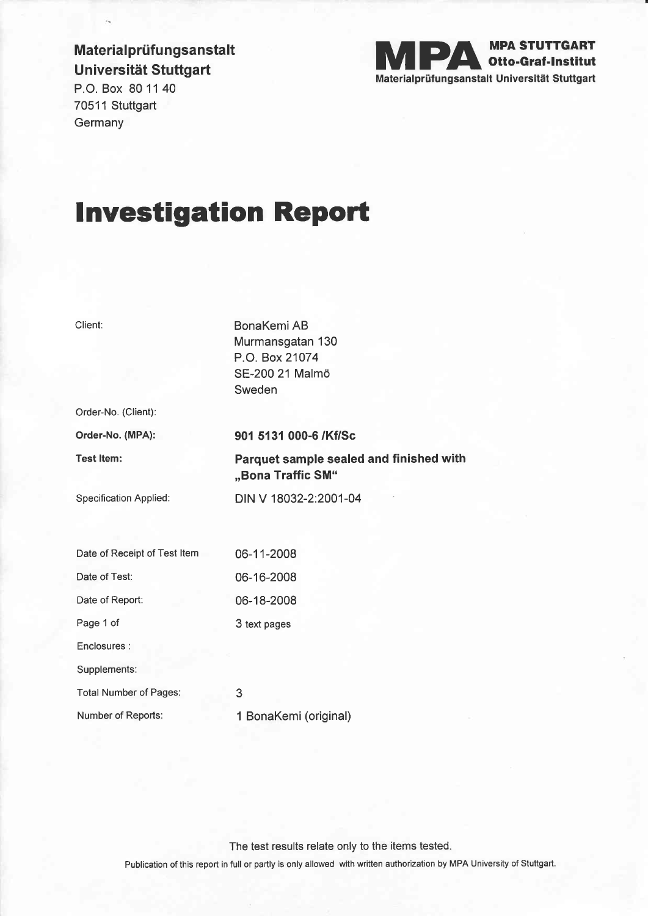## Material prüfung sanstalt Universität Stuttgart



P.O. Box 80 11 40 70511 Stuttgart **Germany** 

# lnvestigation Report

| Client:                       | BonaKemi AB<br>Murmansgatan 130<br>P.O. Box 21074<br>SE-200 21 Malmö<br>Sweden |
|-------------------------------|--------------------------------------------------------------------------------|
| Order-No. (Client):           |                                                                                |
| Order-No. (MPA):              | 901 5131 000-6 /Kf/Sc                                                          |
| <b>Test Item:</b>             | Parquet sample sealed and finished with<br>"Bona Traffic SM"                   |
| <b>Specification Applied:</b> | DIN V 18032-2:2001-04                                                          |
|                               |                                                                                |
| Date of Receipt of Test Item  | 06-11-2008                                                                     |
| Date of Test:                 | 06-16-2008                                                                     |
| Date of Report:               | 06-18-2008                                                                     |
| Page 1 of                     | 3 text pages                                                                   |
| Enclosures :                  |                                                                                |
| Supplements:                  |                                                                                |
| <b>Total Number of Pages:</b> | 3                                                                              |
| Number of Reports:            | 1 BonaKemi (original)                                                          |
|                               |                                                                                |

The test results relate only to the items tested.

Publication of this report in full or partly is only allowed with written authorization by MPA University of Stuftgart.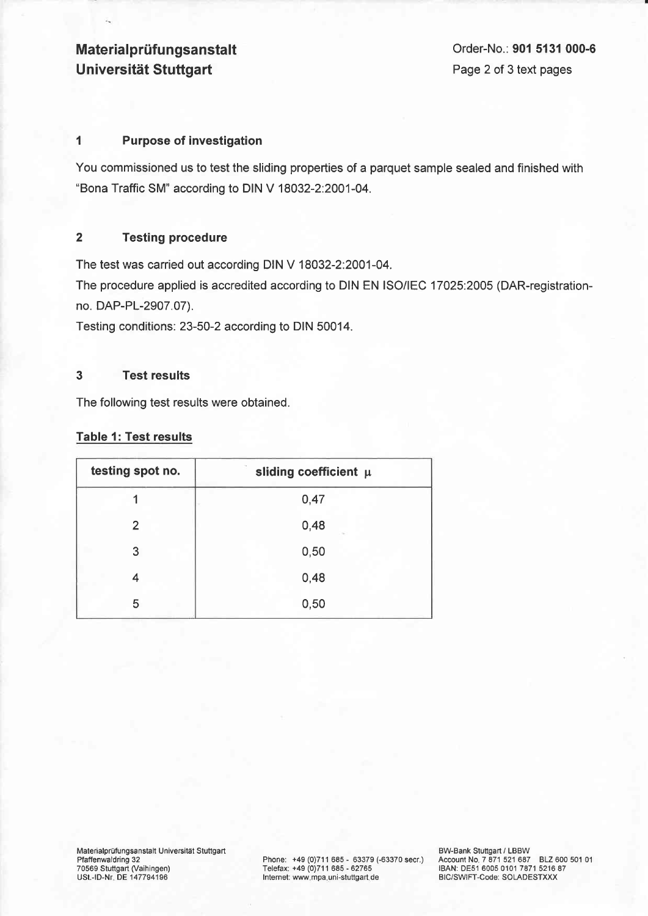### **Material prüfungsanstalt** Universität Stuttgart

#### 1 Purpose of investigation

You commissioned us to test the sliding properties of a parquet sample sealed and finished with "Bona Traffic SM" according to DIN V 18Q32-2:2Q01-04.

#### 2 Testing procedure

The test was carried out according DIN Y 18032-2:2001-04.

The procedure applied is accredited according to DIN EN ISO/lEC 17Q25:2005 (DAR-registrationno. DAP-PL-2907.07).

Testing conditions: 23-50-2 according to DIN 50014.

#### 3 Test results

The following test results were obtained.

#### Table 1: Test results

| testing spot no. | sliding coefficient $\mu$ |
|------------------|---------------------------|
|                  | 0,47                      |
| 2                | 0,48                      |
| 3                | 0,50                      |
| 4                | 0,48                      |
| 5                | 0,50                      |